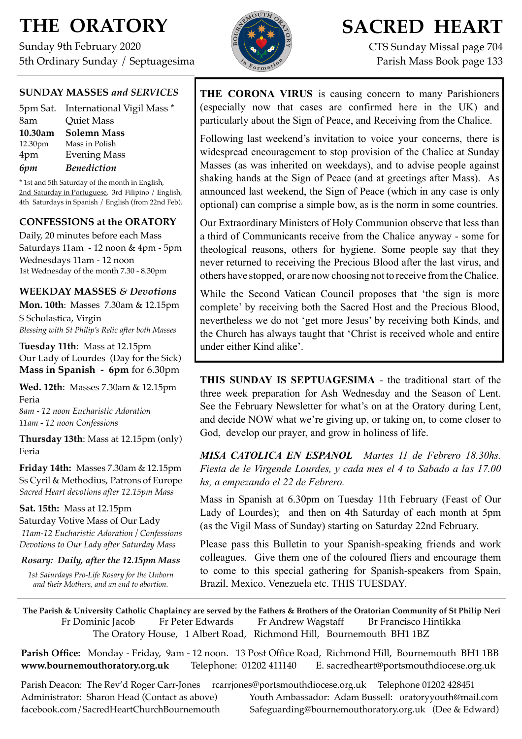# **THE ORATORY**

Sunday 9th February 2020 5th Ordinary Sunday / Septuagesima



# **SACRED HEART**

CTS Sunday Missal page 704 Parish Mass Book page 133

### **SUNDAY MASSES** *and SERVICES*

|         | 5pm Sat. International Vigil Mass * |
|---------|-------------------------------------|
| 8am     | <b>Quiet Mass</b>                   |
| 10.30am | Solemn Mass                         |
| 12.30pm | Mass in Polish                      |
| 4pm     | <b>Evening Mass</b>                 |
| 6pm     | <b>Benediction</b>                  |

\* 1st and 5th Saturday of the month in English, 2nd Saturday in Portuguese, 3rd Filipino / English, 4th Saturdays in Spanish / English (from 22nd Feb).

### **CONFESSIONS at the ORATORY**

Daily, 20 minutes before each Mass Saturdays 11am - 12 noon & 4pm - 5pm Wednesdays 11am - 12 noon 1st Wednesday of the month 7.30 - 8.30pm

### **WEEKDAY MASSES** *& Devotions*

**Mon. 10th**: Masses 7.30am & 12.15pm S Scholastica, Virgin *Blessing with St Philip's Relic after both Masses*

**Tuesday 11th**: Mass at 12.15pm Our Lady of Lourdes (Day for the Sick) **Mass in Spanish - 6pm** for 6.30pm

**Wed. 12th**: Masses 7.30am & 12.15pm Feria *8am - 12 noon Eucharistic Adoration*

*11am - 12 noon Confessions*

**Thursday 13th**: Mass at 12.15pm (only) Feria

**Friday 14th:** Masses 7.30am & 12.15pm Ss Cyril & Methodius, Patrons of Europe *Sacred Heart devotions after 12.15pm Mass*

## **Sat. 15th:** Mass at 12.15pm

Saturday Votive Mass of Our Lady *11am-12 Eucharistic Adoration / Confessions Devotions to Our Lady after Saturday Mass*

*Rosary: Daily, after the 12.15pm Mass*

*1st Saturdays Pro-Life Rosary for the Unborn and their Mothers, and an end to abortion.*

**THE CORONA VIRUS** is causing concern to many Parishioners (especially now that cases are confirmed here in the UK) and particularly about the Sign of Peace, and Receiving from the Chalice.

Following last weekend's invitation to voice your concerns, there is widespread encouragement to stop provision of the Chalice at Sunday Masses (as was inherited on weekdays), and to advise people against shaking hands at the Sign of Peace (and at greetings after Mass). As announced last weekend, the Sign of Peace (which in any case is only optional) can comprise a simple bow, as is the norm in some countries.

Our Extraordinary Ministers of Holy Communion observe that less than a third of Communicants receive from the Chalice anyway - some for theological reasons, others for hygiene. Some people say that they never returned to receiving the Precious Blood after the last virus, and others have stopped, or are now choosing not to receive fromtheChalice.

While the Second Vatican Council proposes that 'the sign is more complete' by receiving both the Sacred Host and the Precious Blood, nevertheless we do not 'get more Jesus' by receiving both Kinds, and the Church has always taught that 'Christ is received whole and entire under either Kind alike'.

**THIS SUNDAY IS SEPTUAGESIMA** - the traditional start of the three week preparation for Ash Wednesday and the Season of Lent. See the February Newsletter for what's on at the Oratory during Lent, and decide NOW what we're giving up, or taking on, to come closer to God, develop our prayer, and grow in holiness of life.

*MISA CATOLICA EN ESPANOL Martes 11 de Febrero 18.30hs. Fiesta de le Virgende Lourdes, y cada mes el 4 to Sabado a las 17.00 hs, a empezando el 22 de Febrero.* 

Mass in Spanish at 6.30pm on Tuesday 11th February (Feast of Our Lady of Lourdes); and then on 4th Saturday of each month at 5pm (as the Vigil Mass of Sunday) starting on Saturday 22nd February.

Please pass this Bulletin to your Spanish-speaking friends and work colleagues. Give them one of the coloured fliers and encourage them to come to this special gathering for Spanish-speakers from Spain, Brazil, Mexico, Venezuela etc. THIS TUESDAY.

**The Parish & University Catholic Chaplaincy are served by the Fathers & Brothers of the Oratorian Community of St Philip Neri**  Fr Dominic Jacob Fr Peter Edwards Fr Andrew Wagstaff Br Francisco Hintikka The Oratory House, 1 Albert Road, Richmond Hill, Bournemouth BH1 1BZ

**Parish Office:** Monday - Friday, 9am - 12 noon. 13 Post Office Road, Richmond Hill, Bournemouth BH1 1BB **[www.bournemouthoratory.org.uk](http://www.bournemoithoratory.org.uk)** Telephone: 01202 411140 E. [sacredheart@portsmouthdiocese.org.uk](mailto:sacredheart@portsmouthdiocese.org.uk)

Parish Deacon: The Rev'd Roger Carr-Jones [rcarrjones@portsmouthdiocese.org.uk](mailto:rcarrjones@portsmouthdiocese.org.uk) Telephone 01202 428451

Administrator: Sharon Head (Contact as above) Youth Ambassador: Adam Bussell: [oratoryyouth@mail.com](http://oratoryyouth.mail.com) [facebook.com/SacredHeartChurchBournemouth](http://facebook.com/SaccredHeartChurchBournemouth) [Safeguarding@bournemouthoratory.org.uk](mailto:safeguarding@bournemouthoratory.org.uk) (Dee & Edward)